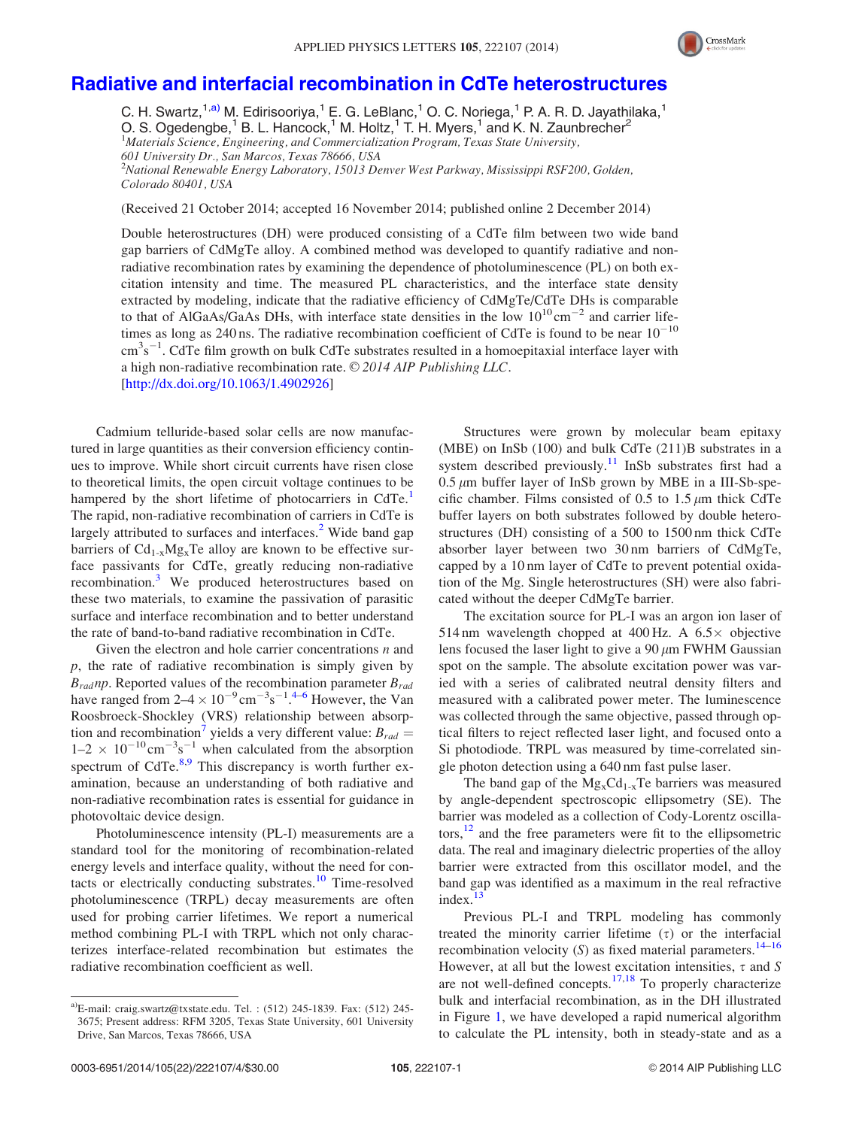

## [Radiative and interfacial recombination in CdTe heterostructures](http://dx.doi.org/10.1063/1.4902926)

C. H. Swartz,<sup>1,a)</sup> M. Edirisooriya,<sup>1</sup> E. G. LeBlanc,<sup>1</sup> O. C. Noriega,<sup>1</sup> P. A. R. D. Jayathilaka,<sup>1</sup> O. S. Ogedengbe,<sup>1</sup> B. L. Hancock,<sup>1</sup> M. Holtz,<sup>1</sup> T. H. Myers,<sup>1</sup> and K. N. Zaunbrecher<sup>2</sup> <sup>1</sup>Materials Science, Engineering, and Commercialization Program, Texas State University, 601 University Dr., San Marcos, Texas 78666, USA <sup>2</sup>National Renewable Energy Laboratory, 15013 Denver West Parkway, Mississippi RSF200, Golden, Colorado 80401, USA

(Received 21 October 2014; accepted 16 November 2014; published online 2 December 2014)

Double heterostructures (DH) were produced consisting of a CdTe film between two wide band gap barriers of CdMgTe alloy. A combined method was developed to quantify radiative and nonradiative recombination rates by examining the dependence of photoluminescence (PL) on both excitation intensity and time. The measured PL characteristics, and the interface state density extracted by modeling, indicate that the radiative efficiency of CdMgTe/CdTe DHs is comparable to that of AlGaAs/GaAs DHs, with interface state densities in the low  $10^{10}$  cm<sup>-2</sup> and carrier lifetimes as long as 240 ns. The radiative recombination coefficient of CdTe is found to be near  $10^{-10}$  $\text{cm}^3\text{s}^{-1}$ . CdTe film growth on bulk CdTe substrates resulted in a homoepitaxial interface layer with a high non-radiative recombination rate.  $\odot$  2014 AIP Publishing LLC. [\[http://dx.doi.org/10.1063/1.4902926](http://dx.doi.org/10.1063/1.4902926)]

Cadmium telluride-based solar cells are now manufactured in large quantities as their conversion efficiency continues to improve. While short circuit currents have risen close to theoretical limits, the open circuit voltage continues to be hampered by the short lifetime of photocarriers in CdTe.<sup>1</sup> The rapid, non-radiative recombination of carriers in CdTe is largely attributed to surfaces and interfaces.<sup>[2](#page-3-0)</sup> Wide band gap barriers of  $Cd_{1-x}Mg_xTe$  alloy are known to be effective surface passivants for CdTe, greatly reducing non-radiative recombination.<sup>[3](#page-3-0)</sup> We produced heterostructures based on these two materials, to examine the passivation of parasitic surface and interface recombination and to better understand the rate of band-to-band radiative recombination in CdTe.

Given the electron and hole carrier concentrations  $n$  and  $p$ , the rate of radiative recombination is simply given by  $B_{rad}$ np. Reported values of the recombination parameter  $B_{rad}$ have ranged from  $2-4 \times 10^{-9}$  $2-4 \times 10^{-9}$  $2-4 \times 10^{-9}$  cm<sup>-3</sup>s<sup>-1</sup>.<sup>4-[6](#page-3-0)</sup> However, the Van Roosbroeck-Shockley (VRS) relationship between absorption and recombination' yields a very different value:  $B_{rad} =$  $1-2 \times 10^{-10}$  cm<sup>-3</sup>s<sup>-1</sup> when calculated from the absorption spectrum of CdTe.<sup>[8,9](#page-3-0)</sup> This discrepancy is worth further examination, because an understanding of both radiative and non-radiative recombination rates is essential for guidance in photovoltaic device design.

Photoluminescence intensity (PL-I) measurements are a standard tool for the monitoring of recombination-related energy levels and interface quality, without the need for con-tacts or electrically conducting substrates.<sup>[10](#page-3-0)</sup> Time-resolved photoluminescence (TRPL) decay measurements are often used for probing carrier lifetimes. We report a numerical method combining PL-I with TRPL which not only characterizes interface-related recombination but estimates the radiative recombination coefficient as well.

Structures were grown by molecular beam epitaxy (MBE) on InSb (100) and bulk CdTe (211)B substrates in a system described previously.<sup>[11](#page-3-0)</sup> InSb substrates first had a  $0.5 \mu$ m buffer layer of InSb grown by MBE in a III-Sb-specific chamber. Films consisted of 0.5 to 1.5  $\mu$ m thick CdTe buffer layers on both substrates followed by double heterostructures (DH) consisting of a 500 to 1500 nm thick CdTe absorber layer between two 30 nm barriers of CdMgTe, capped by a 10 nm layer of CdTe to prevent potential oxidation of the Mg. Single heterostructures (SH) were also fabricated without the deeper CdMgTe barrier.

The excitation source for PL-I was an argon ion laser of 514 nm wavelength chopped at 400 Hz. A  $6.5\times$  objective lens focused the laser light to give a  $90 \mu m$  FWHM Gaussian spot on the sample. The absolute excitation power was varied with a series of calibrated neutral density filters and measured with a calibrated power meter. The luminescence was collected through the same objective, passed through optical filters to reject reflected laser light, and focused onto a Si photodiode. TRPL was measured by time-correlated single photon detection using a 640 nm fast pulse laser.

The band gap of the  $Mg_{x}Cd_{1-x}Te$  barriers was measured by angle-dependent spectroscopic ellipsometry (SE). The barrier was modeled as a collection of Cody-Lorentz oscillators, $12$  and the free parameters were fit to the ellipsometric data. The real and imaginary dielectric properties of the alloy barrier were extracted from this oscillator model, and the band gap was identified as a maximum in the real refractive index. $13$ 

Previous PL-I and TRPL modeling has commonly treated the minority carrier lifetime  $(\tau)$  or the interfacial recombination velocity  $(S)$  as fixed material parameters.<sup>[14–16](#page-3-0)</sup> However, at all but the lowest excitation intensities,  $\tau$  and S are not well-defined concepts. $17,18$  To properly characterize bulk and interfacial recombination, as in the DH illustrated in Figure [1](#page-1-0), we have developed a rapid numerical algorithm to calculate the PL intensity, both in steady-state and as a

<sup>&</sup>lt;sup>a)</sup>E-mail: [craig.swartz@txstate.edu](mailto:craig.swartz@txstate.edu). Tel. :  $(512)$  245-1839. Fax:  $(512)$  245-3675; Present address: RFM 3205, Texas State University, 601 University Drive, San Marcos, Texas 78666, USA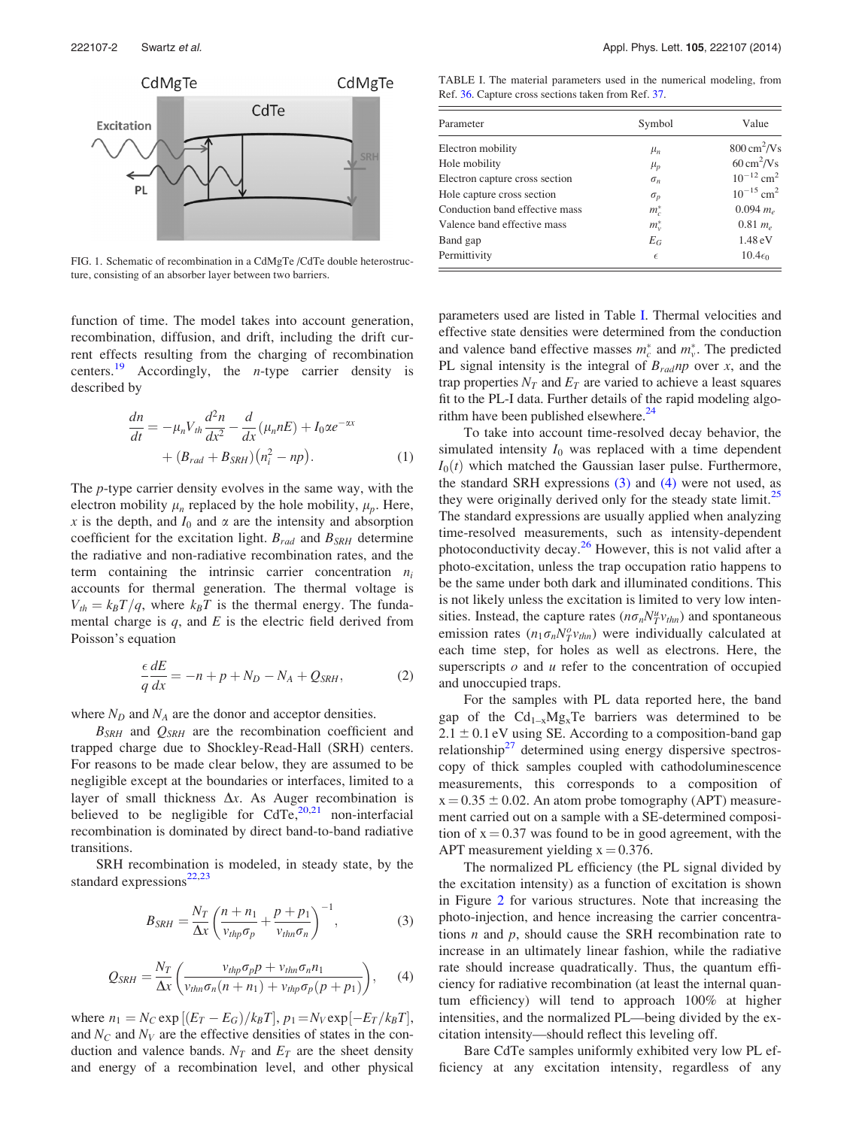<span id="page-1-0"></span>

FIG. 1. Schematic of recombination in a CdMgTe /CdTe double heterostructure, consisting of an absorber layer between two barriers.

function of time. The model takes into account generation, recombination, diffusion, and drift, including the drift current effects resulting from the charging of recombination centers.<sup>[19](#page-3-0)</sup> Accordingly, the *n*-type carrier density is described by

$$
\frac{dn}{dt} = -\mu_n V_{th} \frac{d^2 n}{dx^2} - \frac{d}{dx} (\mu_n n E) + I_0 \alpha e^{-\alpha x}
$$

$$
+ (B_{rad} + B_{SRH}) (n_i^2 - np). \tag{1}
$$

The p-type carrier density evolves in the same way, with the electron mobility  $\mu_n$  replaced by the hole mobility,  $\mu_p$ . Here, x is the depth, and  $I_0$  and  $\alpha$  are the intensity and absorption coefficient for the excitation light.  $B_{rad}$  and  $B_{SRH}$  determine the radiative and non-radiative recombination rates, and the term containing the intrinsic carrier concentration  $n_i$ accounts for thermal generation. The thermal voltage is  $V_{th}=k_BT/q$ , where  $k_BT$  is the thermal energy. The fundamental charge is  $q$ , and  $E$  is the electric field derived from Poisson's equation

$$
\frac{\epsilon}{q}\frac{dE}{dx} = -n + p + N_D - N_A + Q_{SRH},\tag{2}
$$

where  $N_D$  and  $N_A$  are the donor and acceptor densities.

 $B_{SRH}$  and  $Q_{SRH}$  are the recombination coefficient and trapped charge due to Shockley-Read-Hall (SRH) centers. For reasons to be made clear below, they are assumed to be negligible except at the boundaries or interfaces, limited to a layer of small thickness  $\Delta x$ . As Auger recombination is believed to be negligible for  $CdTe$ ,  $20,21$  non-interfacial recombination is dominated by direct band-to-band radiative transitions.

SRH recombination is modeled, in steady state, by the standard expressions $22,23$ 

$$
B_{SRH} = \frac{N_T}{\Delta x} \left( \frac{n + n_1}{v_{thp} \sigma_p} + \frac{p + p_1}{v_{thn} \sigma_n} \right)^{-1},\tag{3}
$$

$$
Q_{SRH} = \frac{N_T}{\Delta x} \left( \frac{v_{thp} \sigma_p p + v_{thn} \sigma_n n_1}{v_{thn} \sigma_n (n + n_1) + v_{thp} \sigma_p (p + p_1)} \right), \quad (4)
$$

where  $n_1 = N_C \exp\left[ (E_T - E_G)/k_B T \right]$ ,  $p_1 = N_V \exp\left[ -E_T/k_B T \right]$ , and  $N_c$  and  $N_V$  are the effective densities of states in the conduction and valence bands.  $N_T$  and  $E_T$  are the sheet density and energy of a recombination level, and other physical

TABLE I. The material parameters used in the numerical modeling, from Ref. [36.](#page-3-0) Capture cross sections taken from Ref. [37](#page-3-0).

| Parameter                      | Symbol     | Value                        |
|--------------------------------|------------|------------------------------|
| Electron mobility              | $\mu_n$    | $800 \text{ cm}^2/\text{Vs}$ |
| Hole mobility                  | $\mu_p$    | $60 \text{ cm}^2/\text{Vs}$  |
| Electron capture cross section | $\sigma_n$ | $10^{-12}$ cm <sup>2</sup>   |
| Hole capture cross section     | $\sigma_p$ | $10^{-15}$ cm <sup>2</sup>   |
| Conduction band effective mass | $m_c^*$    | 0.094 $m_e$                  |
| Valence band effective mass    | $m_v^*$    | $0.81 m_e$                   |
| Band gap                       | $E_G$      | 1.48 eV                      |
| Permittivity                   | $\epsilon$ | $10.4\epsilon_0$             |

parameters used are listed in Table I. Thermal velocities and effective state densities were determined from the conduction and valence band effective masses  $m_c^*$  and  $m_v^*$ . The predicted PL signal intensity is the integral of  $B_{rad}$  np over x, and the trap properties  $N_T$  and  $E_T$  are varied to achieve a least squares fit to the PL-I data. Further details of the rapid modeling algorithm have been published elsewhere. $24$ 

To take into account time-resolved decay behavior, the simulated intensity  $I_0$  was replaced with a time dependent  $I_0(t)$  which matched the Gaussian laser pulse. Furthermore, the standard SRH expressions  $(3)$  and  $(4)$  were not used, as they were originally derived only for the steady state limit.<sup>[25](#page-3-0)</sup> The standard expressions are usually applied when analyzing time-resolved measurements, such as intensity-dependent photoconductivity decay. $2<sup>6</sup>$  However, this is not valid after a photo-excitation, unless the trap occupation ratio happens to be the same under both dark and illuminated conditions. This is not likely unless the excitation is limited to very low intensities. Instead, the capture rates  $(n\sigma_n N_T^u v_{thn})$  and spontaneous emission rates  $(n_1 \sigma_n N_T^o v_{thn})$  were individually calculated at each time step, for holes as well as electrons. Here, the superscripts  $o$  and  $u$  refer to the concentration of occupied and unoccupied traps.

For the samples with PL data reported here, the band gap of the  $Cd_{1-x}Mg_xTe$  barriers was determined to be  $2.1 \pm 0.1$  eV using SE. According to a composition-band gap relationship $27$  determined using energy dispersive spectroscopy of thick samples coupled with cathodoluminescence measurements, this corresponds to a composition of  $x = 0.35 \pm 0.02$ . An atom probe tomography (APT) measurement carried out on a sample with a SE-determined composition of  $x = 0.37$  was found to be in good agreement, with the APT measurement yielding  $x = 0.376$ .

The normalized PL efficiency (the PL signal divided by the excitation intensity) as a function of excitation is shown in Figure [2](#page-2-0) for various structures. Note that increasing the photo-injection, and hence increasing the carrier concentrations  $n$  and  $p$ , should cause the SRH recombination rate to increase in an ultimately linear fashion, while the radiative rate should increase quadratically. Thus, the quantum efficiency for radiative recombination (at least the internal quantum efficiency) will tend to approach 100% at higher intensities, and the normalized PL—being divided by the excitation intensity—should reflect this leveling off.

Bare CdTe samples uniformly exhibited very low PL efficiency at any excitation intensity, regardless of any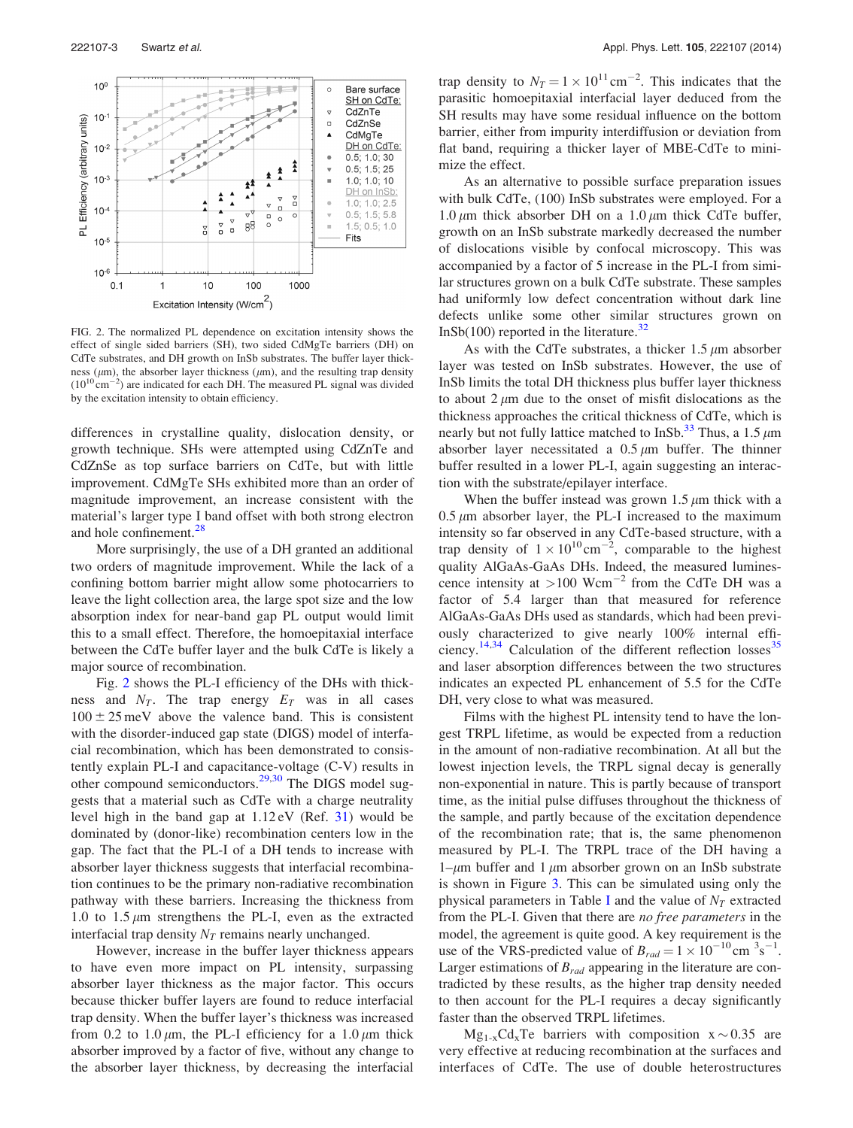<span id="page-2-0"></span>

FIG. 2. The normalized PL dependence on excitation intensity shows the effect of single sided barriers (SH), two sided CdMgTe barriers (DH) on CdTe substrates, and DH growth on InSb substrates. The buffer layer thickness ( $\mu$ m), the absorber layer thickness ( $\mu$ m), and the resulting trap density  $(10^{10} \text{ cm}^{-2})$  are indicated for each DH. The measured PL signal was divided by the excitation intensity to obtain efficiency.

differences in crystalline quality, dislocation density, or growth technique. SHs were attempted using CdZnTe and CdZnSe as top surface barriers on CdTe, but with little improvement. CdMgTe SHs exhibited more than an order of magnitude improvement, an increase consistent with the material's larger type I band offset with both strong electron and hole confinement.<sup>[28](#page-3-0)</sup>

More surprisingly, the use of a DH granted an additional two orders of magnitude improvement. While the lack of a confining bottom barrier might allow some photocarriers to leave the light collection area, the large spot size and the low absorption index for near-band gap PL output would limit this to a small effect. Therefore, the homoepitaxial interface between the CdTe buffer layer and the bulk CdTe is likely a major source of recombination.

Fig. 2 shows the PL-I efficiency of the DHs with thickness and  $N_T$ . The trap energy  $E_T$  was in all cases  $100 \pm 25$  meV above the valence band. This is consistent with the disorder-induced gap state (DIGS) model of interfacial recombination, which has been demonstrated to consistently explain PL-I and capacitance-voltage (C-V) results in other compound semiconductors.<sup>[29,30](#page-3-0)</sup> The DIGS model suggests that a material such as CdTe with a charge neutrality level high in the band gap at  $1.12 \text{eV}$  (Ref. [31](#page-3-0)) would be dominated by (donor-like) recombination centers low in the gap. The fact that the PL-I of a DH tends to increase with absorber layer thickness suggests that interfacial recombination continues to be the primary non-radiative recombination pathway with these barriers. Increasing the thickness from 1.0 to 1.5  $\mu$ m strengthens the PL-I, even as the extracted interfacial trap density  $N_T$  remains nearly unchanged.

However, increase in the buffer layer thickness appears to have even more impact on PL intensity, surpassing absorber layer thickness as the major factor. This occurs because thicker buffer layers are found to reduce interfacial trap density. When the buffer layer's thickness was increased from 0.2 to 1.0  $\mu$ m, the PL-I efficiency for a 1.0  $\mu$ m thick absorber improved by a factor of five, without any change to the absorber layer thickness, by decreasing the interfacial

trap density to  $N_T = 1 \times 10^{11} \text{ cm}^{-2}$ . This indicates that the parasitic homoepitaxial interfacial layer deduced from the SH results may have some residual influence on the bottom barrier, either from impurity interdiffusion or deviation from flat band, requiring a thicker layer of MBE-CdTe to minimize the effect.

As an alternative to possible surface preparation issues with bulk CdTe,  $(100)$  InSb substrates were employed. For a 1.0  $\mu$ m thick absorber DH on a 1.0  $\mu$ m thick CdTe buffer, growth on an InSb substrate markedly decreased the number of dislocations visible by confocal microscopy. This was accompanied by a factor of 5 increase in the PL-I from similar structures grown on a bulk CdTe substrate. These samples had uniformly low defect concentration without dark line defects unlike some other similar structures grown on InSb(100) reported in the literature.<sup>[32](#page-3-0)</sup>

As with the CdTe substrates, a thicker  $1.5 \mu m$  absorber layer was tested on InSb substrates. However, the use of InSb limits the total DH thickness plus buffer layer thickness to about  $2 \mu m$  due to the onset of misfit dislocations as the thickness approaches the critical thickness of CdTe, which is nearly but not fully lattice matched to InSb.<sup>[33](#page-3-0)</sup> Thus, a 1.5  $\mu$ m absorber layer necessitated a  $0.5 \mu m$  buffer. The thinner buffer resulted in a lower PL-I, again suggesting an interaction with the substrate/epilayer interface.

When the buffer instead was grown 1.5  $\mu$ m thick with a  $0.5 \mu$ m absorber layer, the PL-I increased to the maximum intensity so far observed in any CdTe-based structure, with a trap density of  $1 \times 10^{10}$  cm<sup>-2</sup>, comparable to the highest quality AlGaAs-GaAs DHs. Indeed, the measured luminescence intensity at  $>100$  Wcm<sup>-2</sup> from the CdTe DH was a factor of 5.4 larger than that measured for reference AlGaAs-GaAs DHs used as standards, which had been previously characterized to give nearly 100% internal effi-ciency.<sup>[14,34](#page-3-0)</sup> Calculation of the different reflection losses<sup>[35](#page-3-0)</sup> and laser absorption differences between the two structures indicates an expected PL enhancement of 5.5 for the CdTe DH, very close to what was measured.

Films with the highest PL intensity tend to have the longest TRPL lifetime, as would be expected from a reduction in the amount of non-radiative recombination. At all but the lowest injection levels, the TRPL signal decay is generally non-exponential in nature. This is partly because of transport time, as the initial pulse diffuses throughout the thickness of the sample, and partly because of the excitation dependence of the recombination rate; that is, the same phenomenon measured by PL-I. The TRPL trace of the DH having a 1– $\mu$ m buffer and 1  $\mu$ m absorber grown on an InSb substrate is shown in Figure [3](#page-3-0). This can be simulated using only the physical parameters in Table [I](#page-1-0) and the value of  $N_T$  extracted from the PL-I. Given that there are no free parameters in the model, the agreement is quite good. A key requirement is the use of the VRS-predicted value of  $B_{rad} = 1 \times 10^{-10}$  cm  $3s^{-1}$ . Larger estimations of  $B_{rad}$  appearing in the literature are contradicted by these results, as the higher trap density needed to then account for the PL-I requires a decay significantly faster than the observed TRPL lifetimes.

 $Mg_{1-x}Cd_xTe$  barriers with composition  $x \sim 0.35$  are very effective at reducing recombination at the surfaces and interfaces of CdTe. The use of double heterostructures